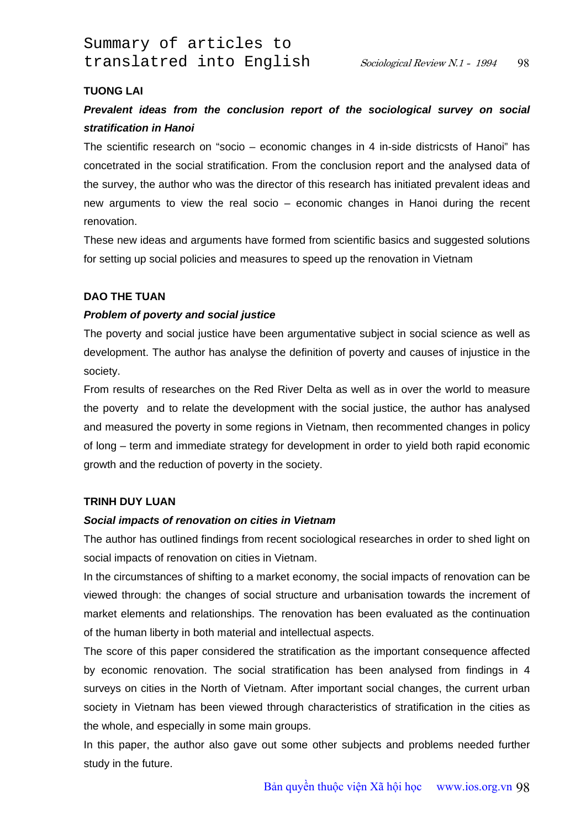Summary of articles to translatred into English Sociological Review N.1 - 1994

### **TUONG LAI**

# *Prevalent ideas from the conclusion report of the sociological survey on social stratification in Hanoi*

The scientific research on "socio – economic changes in 4 in-side districsts of Hanoi" has concetrated in the social stratification. From the conclusion report and the analysed data of the survey, the author who was the director of this research has initiated prevalent ideas and new arguments to view the real socio – economic changes in Hanoi during the recent renovation.

These new ideas and arguments have formed from scientific basics and suggested solutions for setting up social policies and measures to speed up the renovation in Vietnam

## **DAO THE TUAN**

### *Problem of poverty and social justice*

The poverty and social justice have been argumentative subject in social science as well as development. The author has analyse the definition of poverty and causes of injustice in the society.

From results of researches on the Red River Delta as well as in over the world to measure the poverty and to relate the development with the social justice, the author has analysed and measured the poverty in some regions in Vietnam, then recommented changes in policy of long – term and immediate strategy for development in order to yield both rapid economic growth and the reduction of poverty in the society.

## **TRINH DUY LUAN**

### *Social impacts of renovation on cities in Vietnam*

The author has outlined findings from recent sociological researches in order to shed light on social impacts of renovation on cities in Vietnam.

In the circumstances of shifting to a market economy, the social impacts of renovation can be viewed through: the changes of social structure and urbanisation towards the increment of market elements and relationships. The renovation has been evaluated as the continuation of the human liberty in both material and intellectual aspects.

The score of this paper considered the stratification as the important consequence affected by economic renovation. The social stratification has been analysed from findings in 4 surveys on cities in the North of Vietnam. After important social changes, the current urban society in Vietnam has been viewed through characteristics of stratification in the cities as the whole, and especially in some main groups.

In this paper, the author also gave out some other subjects and problems needed further study in the future.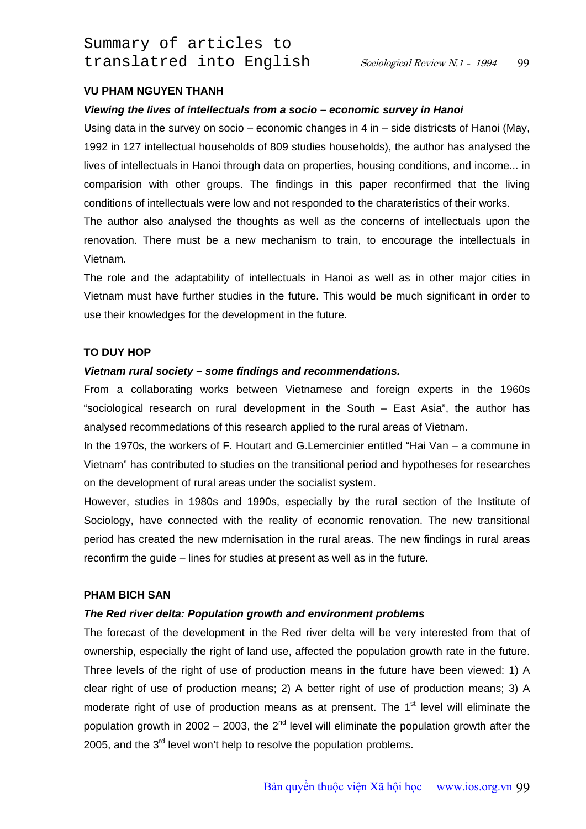Summary of articles to translatred into English Sociological Review N.1 - 1994

### **VU PHAM NGUYEN THANH**

#### *Viewing the lives of intellectuals from a socio – economic survey in Hanoi*

Using data in the survey on socio – economic changes in 4 in – side districsts of Hanoi (May, 1992 in 127 intellectual households of 809 studies households), the author has analysed the lives of intellectuals in Hanoi through data on properties, housing conditions, and income... in comparision with other groups. The findings in this paper reconfirmed that the living conditions of intellectuals were low and not responded to the charateristics of their works. The author also analysed the thoughts as well as the concerns of intellectuals upon the

renovation. There must be a new mechanism to train, to encourage the intellectuals in Vietnam.

The role and the adaptability of intellectuals in Hanoi as well as in other major cities in Vietnam must have further studies in the future. This would be much significant in order to use their knowledges for the development in the future.

### **TO DUY HOP**

### *Vietnam rural society – some findings and recommendations.*

From a collaborating works between Vietnamese and foreign experts in the 1960s "sociological research on rural development in the South – East Asia", the author has analysed recommedations of this research applied to the rural areas of Vietnam.

In the 1970s, the workers of F. Houtart and G.Lemercinier entitled "Hai Van – a commune in Vietnam" has contributed to studies on the transitional period and hypotheses for researches on the development of rural areas under the socialist system.

However, studies in 1980s and 1990s, especially by the rural section of the Institute of Sociology, have connected with the reality of economic renovation. The new transitional period has created the new mdernisation in the rural areas. The new findings in rural areas reconfirm the guide – lines for studies at present as well as in the future.

### **PHAM BICH SAN**

#### *The Red river delta: Population growth and environment problems*

The forecast of the development in the Red river delta will be very interested from that of ownership, especially the right of land use, affected the population growth rate in the future. Three levels of the right of use of production means in the future have been viewed: 1) A clear right of use of production means; 2) A better right of use of production means; 3) A moderate right of use of production means as at prensent. The 1<sup>st</sup> level will eliminate the population growth in 2002 – 2003, the 2<sup>nd</sup> level will eliminate the population growth after the 2005, and the  $3<sup>rd</sup>$  level won't help to resolve the population problems.